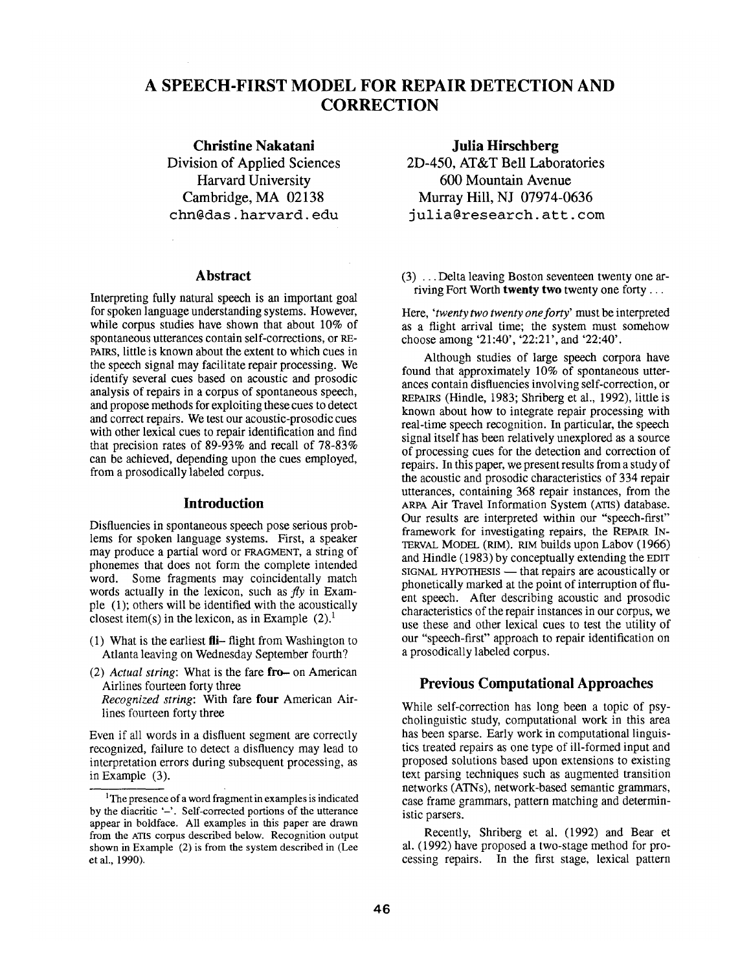# **A SPEECH-FIRST MODEL FOR REPAIR DETECTION AND CORRECTION**

**Christine Nakatani**  Division of Applied Sciences Harvard University Cambridge, MA 02138 chn@das, harvard, edu

#### **Abstract**

Interpreting fully natural speech is an important goal for spoken language understanding systems. However, while corpus studies have shown that about 10% of spontaneous utterances contain self-corrections, or RE-PAIRS, little is known about the extent to which cues in the speech signal may facilitate repair processing. We identify several cues based on acoustic and prosodic analysis of repairs in a corpus of spontaneous speech, and propose methods for exploiting these cues to detect and correct repairs. We test our acoustic-prosodic cues with other lexical cues to repair identification and find that precision rates of 89-93% and recall of  $78-83%$ can be achieved, depending upon the cues employed, from a prosodically labeled corpus.

#### **Introduction**

Disfluencies in spontaneous speech pose serious problems for spoken language systems. First, a speaker may produce a partial word or FRAGMENT, a string of phonemes that does not form the complete intended word. Some fragments may coincidentally match words actually in the lexicon, such as *fly* in Example (1); others will be identified with the acoustically closest item(s) in the lexicon, as in Example  $(2)$ .<sup>1</sup>

- (1) What is the earliest  $\mathbf{f}$  flight from Washington to Atlanta leaving on Wednesday September fourth?
- (2) *Actual string:* What is the fare fro- on American Airlines fourteen forty three *Recognized string:* With fare **four** American Airlines fourteen forty three

Even if all words in a disfluent segment are correctly recognized, failure to detect a disfluency may lead to interpretation errors during subsequent processing, as in Example (3).

**Julia Hirschberg**  2D-450, AT&T Bell Laboratories 600 Mountain Avenue Murray Hill, NJ 07974-0636 julia@research, att. com

(3) ... Delta leaving Boston seventeen twenty one arriving Fort Worth twenty two twenty one forty...

Here, *'twenty two twenty one forty'* must be interpreted as a flight arrival time; the system must somehow choose among '21:40', '22:21', and '22:40'.

Although studies of large speech corpora have found that approximately 10% of spontaneous utterances contain disfluencies involving self-correction, or REPAIRS (Hindle, 1983; Shriberg et al., 1992), little is known about how to integrate repair processing with real-time speech recognition. In particular, the speech signal itself has been relatively unexplored as a source of processing cues for the detection and correction of repairs. In this paper, we present results from a study of the acoustic and prosodic characteristics of 334 repair utterances, containing 368 repair instances, from the ARPA Air Travel Information System (ATIS) database. Our results are interpreted within our "speech-first" framework for investigating repairs, the REPAIR IN-TERVAL MODEL (RIM). RIM builds upon Labov (1966) and Hindle (1983) by conceptually extending the EDIT SIGNAL HYPOTHESIS - that repairs are acoustically or phonetically marked at the point of interruption of fluent speech. After describing acoustic and prosodic characteristics of the repair instances in our corpus, we use these and other lexical cues to test the utility of our "speech-first" approach to repair identification on a prosodically labeled corpus.

### **Previous Computational Approaches**

While self-correction has long been a topic of psycholinguistic study, computational work in this area has been sparse. Early work in computational linguistics treated repairs as one type of ill-formed input and proposed solutions based upon extensions to existing text parsing techniques such as augmented transition networks (ATNs), network-based semantic grammars, case frame grammars, pattern matching and deterministic parsers.

Recently, Shriberg et al. (1992) and Bear et al. (1992) have proposed a two-stage method for processing repairs. In the first stage, lexical pattern

<sup>&</sup>lt;sup>1</sup>The presence of a word fragment in examples is indicated by the diacritic '-'. Self-corrected portions of the utterance appear in boldface. All examples in this paper are drawn from the ATIS corpus described below. Recognition output shown in Example (2) is from the system described in (Lee et al., 1990).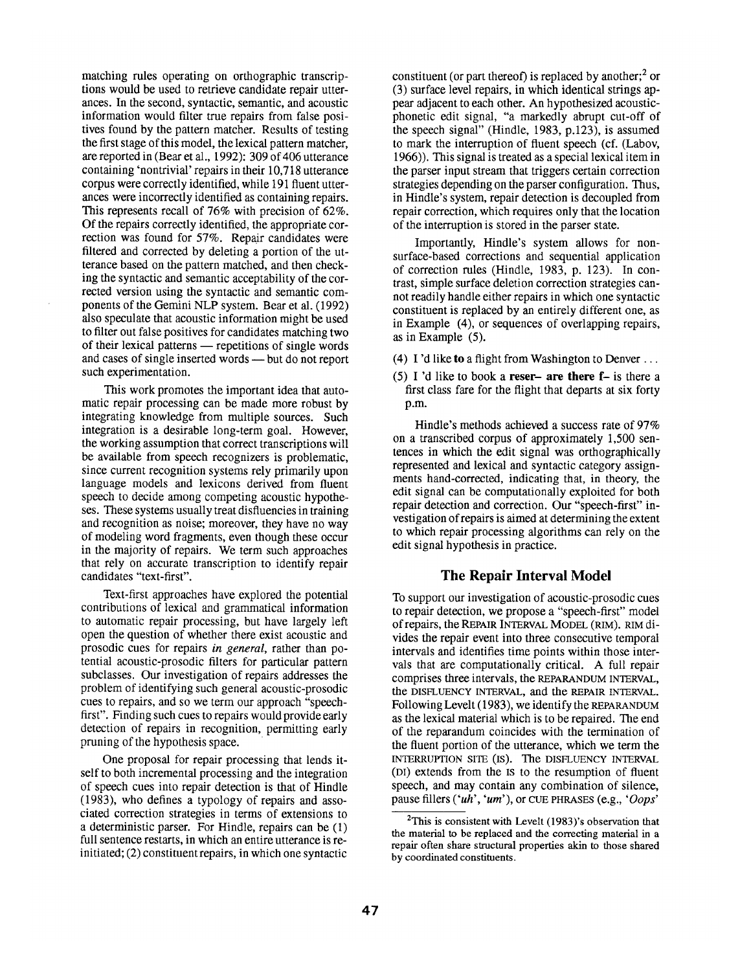matching rules operating on orthographic transcriptions would be used to retrieve candidate repair utterances. In the second, syntactic, semantic, and acoustic information would filter true repairs from false positives found by the pattern matcher. Results of testing the first stage of this model, the lexical pattern matcher, are reported in (Bear et al., 1992): 309 of 406 utterance containing 'nontrivial' repairs in their 10,718 utterance corpus were correctly identified, while 191 fluent utterances were incorrectly identified as containing repairs. This represents recall of 76% with precision of 62%. Of the repairs correctly identified, the appropriate correction was found for 57%. Repair candidates were filtered and corrected by deleting a portion of the utterance based on the pattern matched, and then checking the syntactic and semantic acceptability of the corrected version using the syntactic and semantic components of the Gemini NLP system. Bear et al. (1992) also speculate that acoustic information might be used to filter out false positives for candidates matching two of their lexical patterns - repetitions of single words and cases of single inserted words — but do not report such experimentation.

This work promotes the important idea that automatic repair processing can be made more robust by integrating knowledge from multiple sources. Such integration is a desirable long-term goal. However, the working assumption that correct transcriptions will be available from speech recognizers is problematic, since current recognition systems rely primarily upon language models and lexicons derived from fluent speech to decide among competing acoustic hypotheses. These systems usually treat disfluencies in training and recognition as noise; moreover, they have no way of modeling word fragments, even though these occur in the majority of repairs. We term such approaches that rely on accurate transcription to identify repair candidates "text-first".

Text-first approaches have explored the potential contributions of lexical and grammatical information to automatic repair processing, but have largely left open the question of whether there exist acoustic and prosodic cues for repairs *in general,* rather than potential acoustic-prosodic filters for particular pattern subclasses. Our investigation of repairs addresses the problem of identifying such general acoustic-prosodic cues to repairs, and so we term our approach "speechfirst". Finding such cues to repairs would provide early detection of repairs in recognition, permitting early pruning of the hypothesis space.

One proposal for repair processing that lends itself to both incremental processing and the integration of speech cues into repair detection is that of Hindle (1983), who defines a typology of repairs and associated correction strategies in terms of extensions to a deterministic parser. For Hindle, repairs can be (1) full sentence restarts, in which an entire utterance is reinitiated; (2) constituent repairs, in which one syntactic

constituent (or part thereof) is replaced by another;<sup>2</sup> or (3) surface level repairs, in which identical strings appear adjacent to each other. An hypothesized acousticphonetic edit signal, "a markedly abrupt cut-off of the speech signal" (Hindle, 1983, p.123), is assumed to mark the interruption of fluent speech (cf. (Labov, 1966)). This signal is treated as a special lexical item in the parser input stream that triggers certain correction strategies depending on the parser configuration. Thus, in Hindle's system, repair detection is decoupled from repair correction, which requires only that the location of the interruption is stored in the parser state.

Importantly, Hindle's system allows for nonsurface-based corrections and sequential application of correction rules (Hindle, 1983, p. 123). In contrast, simple surface deletion correction strategies cannot readily handle either repairs in which one syntactic constituent is replaced by an entirely different one, as in Example (4), or sequences of overlapping repairs, as in Example (5).

- (4) I 'd like to a flight from Washington to Denver...
- (5) I 'd like to book a **reser- are there** f- is there a first class fare for the flight that departs at six forty p.m.

Hindle's methods achieved a success rate of 97% on a transcribed corpus of approximately 1,500 sentences in which the edit signal was orthographically represented and lexical and syntactic category assignments hand-corrected, indicating that, in theory, the edit signal can be computationally exploited for both repair detection and correction. Our "speech-first" investigation of repairs is aimed at determining the extent to which repair processing algorithms can rely on the edit signal hypothesis in practice.

### **The Repair Interval Model**

To support our investigation of acoustic-prosodic cues to repair detection, we propose a "speech-first" model of repairs, the REPAIR INTERVAL MODEL (RIM). RIM divides the repair event into three consecutive temporal intervals and identifies time points within those intervals that are computationally critical. A full repair comprises three intervals, the REPARANDUM INTERVAL, the DISFLUENCY INTERVAL, and the REPAIR INTERVAL. Following Levelt (1983), we identify the REPARANDUM as the lexicai material which is to be repaired. The end of the reparandum coincides with the termination of the fluent portion of the utterance, which we term the INTERRUPTION SITE (IS). The DISFLUENCY INTERVAL (nI) extends from the IS to the resumption of fluent speech, and may contain any combination of silence, pause fillers *('uh', 'urn'),* or CUE PHRASES (e.g., *'Oops'* 

<sup>&</sup>lt;sup>2</sup>This is consistent with Levelt (1983)'s observation that the material to be replaced and the correcting material in a repair often share structural properties akin to those shared by coordinated constituents.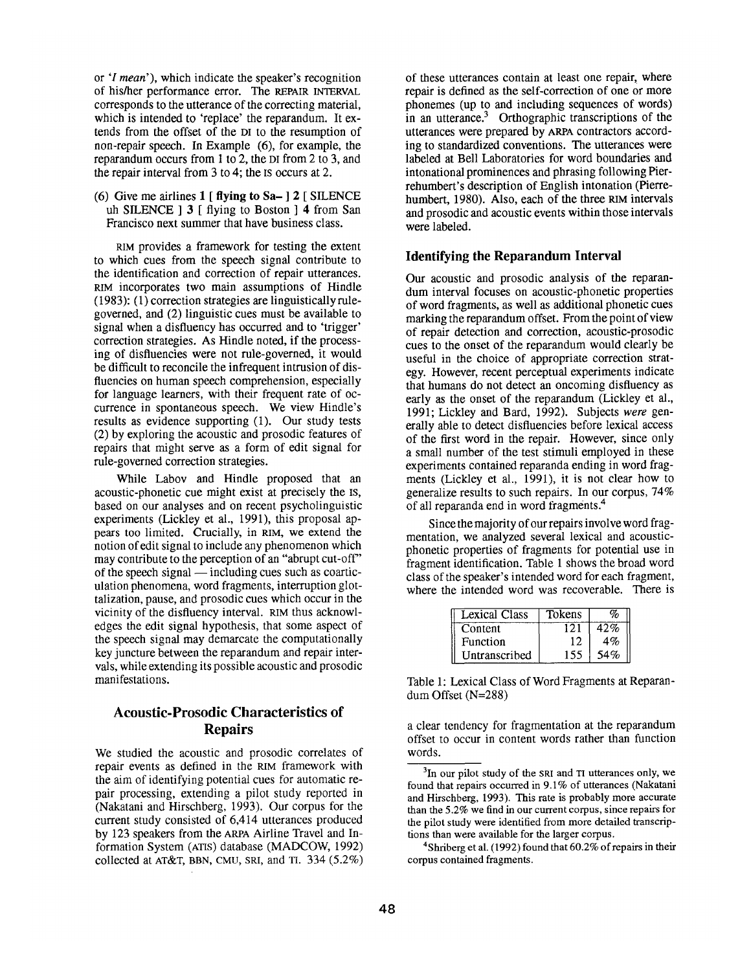or 'I *mean'),* which indicate the speaker's recognition of his/her performance error. The REPAIR INTERVAL corresponds to the utterance of the correcting material, which is intended to 'replace' the reparandum. It extends from the offset of the DI tO the resumption of non-repair speech. In Example (6), for example, the reparandum occurs from 1 to 2, the DI from 2 to 3, and the repair interval from 3 to 4; the Is occurs at 2.

#### (6) Give me airlines 1 [ **flying to** Sa- ] 2 [ SILENCE uh SILENCE ] 3 [ flying to Boston ] 4 from San Francisco next summer that have business class.

RIM provides a framework for testing the extent to which cues from the speech signal contribute to the identification and correction of repair utterances. RIM incorporates two main assumptions of Hindle (1983): (1) correction strategies are linguisticallyrulegoverned, and (2) linguistic cues must be available to signal when a disfluency has occurred and to 'trigger' correction strategies. As Hindle noted, if the processing of disfluencies were not rule-governed, it would be difficult to reconcile the infrequent intrusion of disfluencies on human speech comprehension, especially for language learners, with their frequent rate of occurrence in spontaneous speech. We view Hindle's results as evidence supporting (1). Our study tests (2) by exploring the acoustic and prosodic features of repairs that might serve as a form of edit signal for rule-governed correction strategies.

While Labov and Hindle proposed that an acoustic-phonetic cue might exist at precisely the Is, based on our analyses and on recent psychotinguistic experiments (Lickley et al., 1991), this proposal appears too limited. Crucially, in RIM, we extend the notion of edit signal to include any phenomenon which may contribute to the perception of an "abrupt cut-off" of the speech signal  $-$  including cues such as coarticulation phenomena, word fragments, interruption glottalization, pause, and prosodic cues which occur in the vicinity of the disfluency interval. RIM thus acknowledges the edit signal hypothesis, that some aspect of the speech signal may demarcate the computationally key juncture between the reparandum and repair intervals, while extending its possible acoustic and prosodic manifestations.

### **Acoustic-Prosodic Characteristics of Repairs**

We studied the acoustic and prosodic correlates of repair events as defined in the RIM framework with the aim of identifying potential cues for automatic repair processing, extending a pilot study reported in (Nakatani and Hirschberg, 1993). Our corpus for the current study consisted of 6,414 utterances produced by 123 speakers from the ARPA Airline Travel and Information System (ATIS) database (MADCOW, 1992) collected at AT&T, BBN, CMU, SRI, and TL 334 (5.2%)

of these utterances contain at least one repair, where repair is defined as the self-correction of one or more phonemes (up to and including sequences of words) in an utterance.<sup>3</sup> Orthographic transcriptions of the utterances were prepared by ARPA contractors according to standardized conventions. The utterances were labeled at Bell Laboratories for word boundaries and intonational prominences and phrasing following Pierrehumbert's description of English intonation (Pierrehumbert, 1980). Also, each of the three RIM intervals and prosodic and acoustic events within those intervals were labeled.

#### **Identifying the Reparandum Interval**

Our acoustic and prosodic analysis of the reparandum interval focuses on acoustic-phonetic properties of word fragments, as well as additional phonetic cues marking the reparandum offset. From the point of view of repair detection and correction, acoustic-prosodic cues to the onset of the reparandum would clearly be useful in the choice of appropriate correction strategy. However, recent perceptual experiments indicate that humans do not detect an oncoming disfluency as early as the onset of the reparandum (Lickley et al., 1991; Lickley and Bard, 1992). Subjects *were* generally able to detect disfluencies before lexical access of the first word in the repair. However, since only a small number of the test stimuli employed in these experiments contained reparanda ending in word fragments (Lickley et al., 1991), it is not clear how to generalize results to such repairs. In our corpus, 74% of all reparanda end in word fragments. 4

Since the majority of our repairs involve word fragmentation, we analyzed several lexical and acousticphonetic properties of fragments for potential use in fragment identification. Table 1 shows the broad word class of the speaker's intended word for each fragment, where the intended word was recoverable. There is

| Lexical Class | Tokens | %   |
|---------------|--------|-----|
| Content       |        | 42% |
| Function      | 12     | 4%  |
| Untranscribed | 155    | 54% |

Table 1: Lexical Class of Word Fragments at Reparandum Offset (N=288)

a clear tendency for fragmentation at the reparandum offset to occur in content words rather than function words.

 $3$ In our pilot study of the SRI and TI utterances only, we found that repairs occurred in 9.1% of utterances (Nakatani and Hirschberg, 1993). This rate is probably more accurate than the 5.2% we find in our current corpus, since repairs for the pilot study were identified from more detailed transcriptions than were available for the larger corpus.

<sup>&</sup>lt;sup>4</sup>Shriberg et al. (1992) found that 60.2% of repairs in their corpus contained fragments.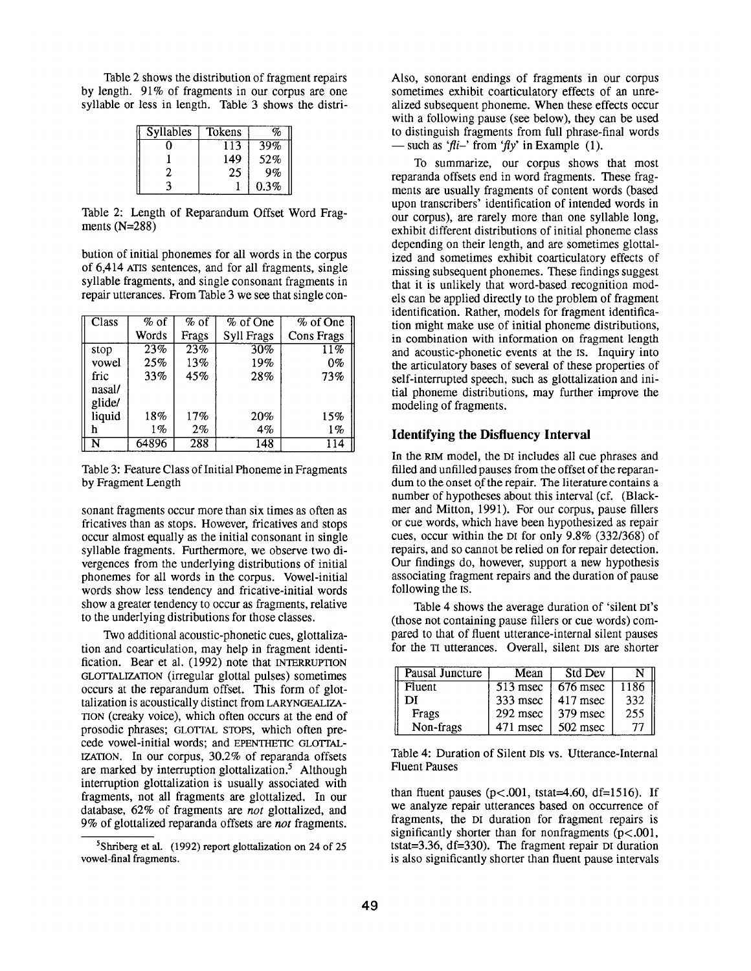Table 2 shows the distribution of fragment repairs by length. 91% of fragments in our corpus are one syllable or less in length. Table 3 shows the distri-

| <b>Syllables</b> | Tokens |      |
|------------------|--------|------|
|                  | 113    | 39%  |
|                  | 149    | 52%  |
| 2                | 25     | 9%   |
|                  |        | 0.3% |

Table 2: Length of Reparandum Offset Word Fragments  $(N=288)$ 

bution of initial phonemes for all words in the corpus of 6,414 ATIS sentences, and for all fragments, single syllable fragments, and single consonant fragments in repair utterances. From Table 3 we see that single con-

| <b>Class</b> | $%$ of | $%$ of | $%$ of One | % of One   |
|--------------|--------|--------|------------|------------|
|              | Words  | Frags  | Syll Frags | Cons Frags |
| stop         | 23%    | 23%    | 30%        | 11%        |
| vowel        | 25%    | 13%    | 19%        | 0%         |
| fric         | 33%    | 45%    | 28%        | 73%        |
| nasal/       |        |        |            |            |
| glide/       |        |        |            |            |
| liquid       | 18%    | 17%    | 20%        | 15%        |
| h            | $1\%$  | $2\%$  | $4\%$      | 1%         |
| N            | 64896  | 288    | 148        | 114        |

Table 3: Feature Class of Initial Phoneme in Fragments by Fragment Length

sonant fragments occur more than six times as often as fricatives than as stops. However, fricatives and stops occur almost equally as the initial consonant in single syllable fragments. Furthermore, we observe two divergences from the underlying distributions of initial phonemes for all words in the corpus. Vowel-initial words show less tendency and fricative-initial words show a greater tendency to occur as fragments, relative to the underlying distributions for those classes.

Two additional acoustic-phonetic cues, glottalization and coarticulation, may help in fragment identification. Bear et al. (1992) note that INTERRUPTION GLOTTALIZATION (irregular glottal pulses) sometimes occurs at the reparandum offset. This form of glottalization is acoustically distinct from LARYNGEALIZA-TION (creaky voice), which often occurs at the end of prosodic phrases; GLOTTAL STOPS, which often precede vowel-initial words; and EPENTHETIC GLOTTALtZATtON. In our corpus, 30.2% of reparanda offsets are marked by interruption glottalization.<sup>5</sup> Although interruption glottalization is usually associated with fragments, not all fragments are glottalized. In our database, 62% of fragments are *not* glottalized, and 9% of glottalized reparanda offsets are *not* fragments.

Also, sonorant endings of fragments in our corpus sometimes exhibit coarticulatory effects of an unrealized subsequent phoneme. When these effects occur with a following pause (see below), they can be used to distinguish fragments from full phrase-final words  $-$  such as 'fli-' from 'fly' in Example (1).

To summarize, our corpus shows that most reparanda offsets end in word fragments. These fragments are usually fragments of content words (based upon transcribers' identification of intended words in our corpus), are rarely more than one syllable long, exhibit different distributions of initial phoneme class depending on their length, and are sometimes glottalized and sometimes exhibit coarticulatory effects of missing subsequent phonemes. These findings suggest that it is unlikely that word-based recognition models can be applied directly to the problem of fragment identification. Rather, models for fragment identification might make use of initial phoneme distributions, in combination with information on fragment length and acoustic-phonetic events at the IS. Inquiry into the articulatory bases of several of these properties of self-interrupted speech, such as glottalization and initial phoneme distributions, may further improve the modeling of fragments.

#### **Identifying the Disfluency Interval**

In the RIM model, the DI includes all cue phrases and filled and unfilled pauses from the offset of the reparandum to the onset of the repair. The literature contains a number of hypotheses about this interval (cf. (Blackmet and Mitton, 1991). For our corpus, pause fillers or cue words, which have been hypothesized as repair cues, occur within the DI for only 9.8% (332/368) of repairs, and so cannot be relied on for repair detection. Our findings do, however, support a new hypothesis associating fragment repairs and the duration of pause following the IS.

Table 4 shows the average duration of 'silent DI'S (those not containing pause fillers or cue words) compared to that of fluent utterance-internal silent pauses for the Tt utterances. Overall, silent DIS are shorter

| Pausal Juncture | Mean       | <b>Std Dev</b> |      |
|-----------------|------------|----------------|------|
| Fluent          | $513$ msec | $676$ msec     | 1186 |
| DI              | $333$ msec | $417$ msec     | 332  |
| Frags           | $292$ msec | 379 msec       | 255  |
| Non-frags       | $471$ msec | 502 msec       | 77   |

Table 4: Duration of Silent DIS vs. Utterance-Internal Fluent Pauses

than fluent pauses ( $p < .001$ , tstat=4.60, df=1516). If we analyze repair utterances based on occurrence of fragments, the DI duration for fragment repairs is significantly shorter than for nonfragments  $(p<.001$ , tstat=3.36, df=330). The fragment repair DI duration is also significantly shorter than fluent pause intervals

<sup>5</sup>Shriberg et al. (1992) report glottalization on 24 of 25 vowel-final fragments.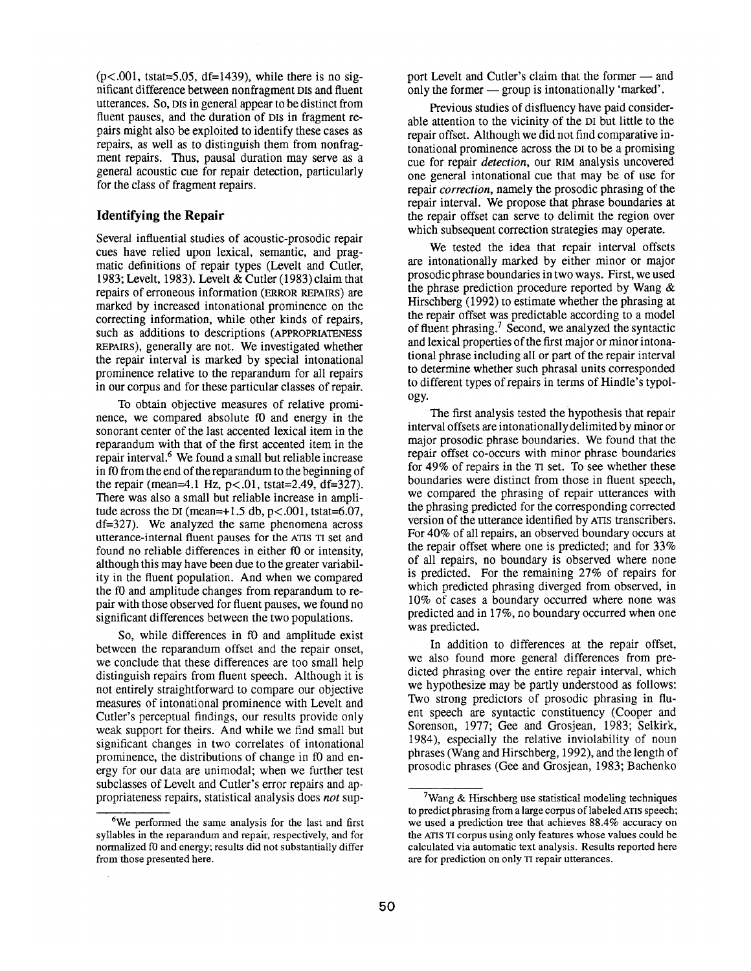$(p<.001$ , tstat=5.05, df=1439), while there is no significant difference between nonfragment DIS and fluent utterances. So, DIS in general appear to be distinct from fluent pauses, and the duration of DIS in fragment repairs might also be exploited to identify these cases as repairs, as well as to distinguish them from nonfragment repairs. Thus, pausal duration may serve as a general acoustic cue for repair detection, particularly for the class of fragment repairs.

#### **Identifying the Repair**

Several influential studies of acoustic-prosodic repair cues have relied upon texical, semantic, and pragmatic definitions of repair types (Levelt and Cutler, 1983; Levelt, 1983). Levelt & Cutler (1983) claim that repairs of erroneous information (ERROR REPAIRS) are marked by increased intonational prominence on the correcting information, while other kinds of repairs, such as additions to descriptions (APPROPRIATENESS REPAIRS), generally are not. We investigated whether the repair interval is marked by special intonational prominence relative to the reparandum for all repairs in our corpus and for these particular classes of repair.

To obtain objective measures of relative prominence, we compared absolute f0 and energy in the sonorant center of the last accented lexical item in the reparandum with that of the first accented item in the repair interval.<sup>6</sup> We found a small but reliable increase in f0 from the end of the reparandum to the beginning of the repair (mean=4.1 Hz,  $p < 01$ , tstat=2.49, df=327). There was also a small but reliable increase in amplitude across the DI (mean=+1.5 db,  $p < .001$ , tstat=6.07, df=327). We analyzed the same phenomena across utterance-internal fluent pauses for the ATIS TI set and found no reliable differences in either f0 or intensity, although this may have been due to the greater variability in the fluent population. And when we compared the f0 and amplitude changes from reparandum to repair with those observed for fluent pauses, we found no significant differences between the two populations.

So, while differences in f0 and amplitude exist between the reparandum offset and the repair onset, we conclude that these differences are too small help distinguish repairs from fluent speech. Although it is not entirely straightforward to compare our objective measures of intonational prominence with Levelt and Cutler's perceptual findings, our results provide only weak support for theirs. And while we find small but significant changes in two correlates of intonational prominence, the distributions of change in f0 and energy for our data are unimodal; when we further test subclasses of Levelt and Cutler's error repairs and appropriateness repairs, statistical analysis does *not* support Levelt and Cutler's claim that the former -- and only the former  $-$  group is intonationally 'marked'.

Previous studies of disfluency have paid considerable attention to the vicinity of the DI but little to the repair offset. Although we did not find comparative intonationai prominence across the DI tO be a promising cue for repair *detection,* our RIM analysis uncovered one general intonational cue that may be of use for repair *correction,* namely the prosodic phrasing of the repair interval. We propose that phrase boundaries at the repair offset can serve to delimit the region over which subsequent correction strategies may operate.

We tested the idea that repair interval offsets are intonationally marked by either minor or major prosodic phrase boundaries in two ways. First, we used the phrase prediction procedure reported by Wang & Hirschberg (1992) to estimate whether the phrasing at the repair offset was predictable according to a model of fluent phrasing.<sup>7</sup> Second, we analyzed the syntactic and lexical properties of the first major or minor intonational phrase including all or part of the repair interval to determine whether such phrasal units corresponded to different types of repairs in terms of Hindle's typology.

The first analysis tested the hypothesis that repair interval offsets are intonationally delimited by minor or major prosodic phrase boundaries. We found that the repair offset co-occurs with minor phrase boundaries for 49% of repairs in the TI set. To see whether these boundaries were distinct from those in fluent speech, we compared the phrasing of repair utterances with the phrasing predicted for the corresponding corrected version of the utterance identified by ATIS transcribers. For 40% of all repairs, an observed boundary occurs at the repair offset where one is predicted; and for 33% of all repairs, no boundary is observed where none is predicted. For the remaining 27% of repairs for which predicted phrasing diverged from observed, in 10% of cases a boundary occurred where none was predicted and in 17%, no boundary occurred when one was predicted.

In addition to differences at the repair offset, we also found more general differences from predicted phrasing over the entire repair interval, which we hypothesize may be partly understood as follows: Two strong predictors of prosodic phrasing in fluent speech are syntactic constituency (Cooper and Sorenson, 1977; Gee and Grosjean, 1983; Selkirk, 1984), especially the relative inviolability of noun phrases (Wang and Hirschberg, 1992), and the length of prosodic phrases (Gee and Grosjean, 1983; Bachenko

<sup>&</sup>lt;sup>6</sup>We performed the same analysis for the last and first syllables in the reparandum and repair, respectively, and for normalized f0 and energy; results did not substantially differ from those presented here.

<sup>&</sup>lt;sup>7</sup>Wang & Hirschberg use statistical modeling techniques to predict phrasing from a large corpus of labeled ATIS speech; we used a prediction tree that achieves 88.4% accuracy on the ATIS TI corpus using only features whose values could be calculated via automatic text analysis. Results reported here are for prediction on only TI repair utterances.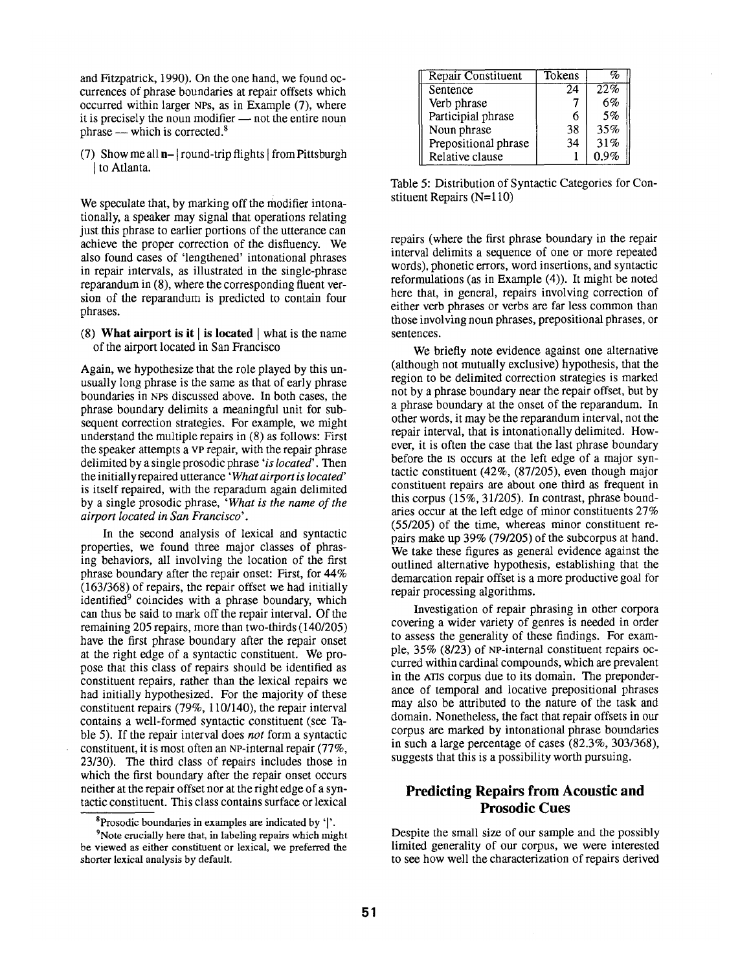and Fitzpatrick, 1990). On the one hand, we found occurrences of phrase boundaries at repair offsets which occurred within larger NPs, as in Example (7), where it is precisely the noun modifier  $-$  not the entire noun phrase  $-$  which is corrected.<sup>8</sup>

(7) Show me all  $\mathbf{n}$ - | round-trip flights | from Pittsburgh [ to Atlanta.

We speculate that, by marking off the modifier intonationaily, a speaker may signal that operations relating just this phrase to earlier portions of the utterance can achieve the proper correction of the disfluency. We also found cases of 'lengthened' intonational phrases in repair intervals, as illustrated in the single-phrase reparandum in (8), where the corresponding fluent version of the reparandum is predicted to contain four phrases.

#### (8) **What airport is it**  $\vert$  **is located**  $\vert$  what is the name of the airport located in San Francisco

Again, we hypothesize that the role played by this unusually long phrase is the same as that of early phrase boundaries in NPS discussed above. In both cases, the phrase boundary delimits a meaningful unit for subsequent correction strategies. For example, we might understand the multiple repairs in (8) as follows: First the speaker attempts a vP repair, with the repair phrase delimited by a single prosodic phrase *'is located'.* Then the initially repaired utterance *'What airport is located'*  is itself repaired, with the reparadum again delimited by a single prosodic phrase, *'What is the name of the airport located in San Francisco'.* 

In the second analysis of lexical and syntactic properties, we found three major classes of phrasing behaviors, all involving the location of the first phrase boundary after the repair onset: First, for 44% (163/368) of repairs, the repair offset we had initially identified<sup>9</sup> coincides with a phrase boundary, which can thus be said to mark off the repair interval. Of the remaining 205 repairs, more than two-thirds (140/205) have the first phrase boundary after the repair onset at the right edge of a syntactic constituent. We propose that this class of repairs should be identified as constituent repairs, rather than the lexical repairs we had initially hypothesized. For the majority of these constituent repairs (79%, 110/140), the repair interval contains a well-formed syntactic constituent (see Table 5). If the repair interval does *not* form a syntactic constituent, it is most often an NP-internal repair (77%, 23/30). The third class of repairs includes those in which the first boundary after the repair onset occurs neither at the repair offset nor at the right edge of a syntactic constituent. This class contains surface or lexical

| Repair Constituent   | Tokens | %   |
|----------------------|--------|-----|
| Sentence             | 24     | 22% |
| Verb phrase          |        | 6%  |
| Participial phrase   | 6      | 5%  |
| Noun phrase          | 38     | 35% |
| Prepositional phrase | 34     | 31% |
| Relative clause      |        | 09% |

Table 5: Distribution of Syntactic Categories for Constituent Repairs  $(N=110)$ 

repairs (where the first phrase boundary in the repair interval delimits a sequence of one or more repeated words), phonetic errors, word insertions, and syntactic reformulations (as in Example (4)). It might be noted here that, in general, repairs involving correction of either verb phrases or verbs are far less common than those involving noun phrases, prepositional phrases, or sentences.

We briefly note evidence against one alternative (although not mutually exclusive) hypothesis, that the region to be delimited correction strategies is marked not by a phrase boundary near the repair offset, but by a phrase boundary at the onset of the reparandum. In other words, it may be the reparandum interval, not the repair interval, that is intonationally delimited. However, it is often the case that the last phrase boundary before the IS occurs at the left edge of a major syntactic constituent (42%, (87/205), even though major constituent repairs are about one third as frequent in this corpus (15%, 31/205). In contrast, phrase boundaries occur at the left edge of minor constituents 27% (55/205) of the time, whereas minor constituent repairs make up 39% (79/205) of the subcorpus at hand. We take these figures as general evidence against the outlined alternative hypothesis, establishing that the demarcation repair offset is a more productive goal for repair processing algorithms.

Investigation of repair phrasing in other corpora covering a wider variety of genres is needed in order to assess the generality of these findings. For example, 35% (8/23) of NP-internal constituent repairs occurred within cardinal compounds, which are prevalent in the nTIS corpus due to its domain. The preponderance of temporal and locative prepositional phrases may also be attributed to the nature of the task and domain. Nonetheless, the fact that repair offsets in our corpus are marked by intonational phrase boundaries in such a large percentage of cases (82.3%, 303/368), suggests that this is a possibility worth pursuing.

## **Predicting Repairs from Acoustic and Prosodic Cues**

Despite the small size of our sample and the possibly limited generality of our corpus, we were interested to see how well the characterization of repairs derived

<sup>&</sup>lt;sup>8</sup>Prosodic boundaries in examples are indicated by  $\cdot$ .

<sup>&</sup>lt;sup>9</sup>Note crucially here that, in labeling repairs which might be viewed as either constituent or lexical, we preferred the shorter lexical analysis by default.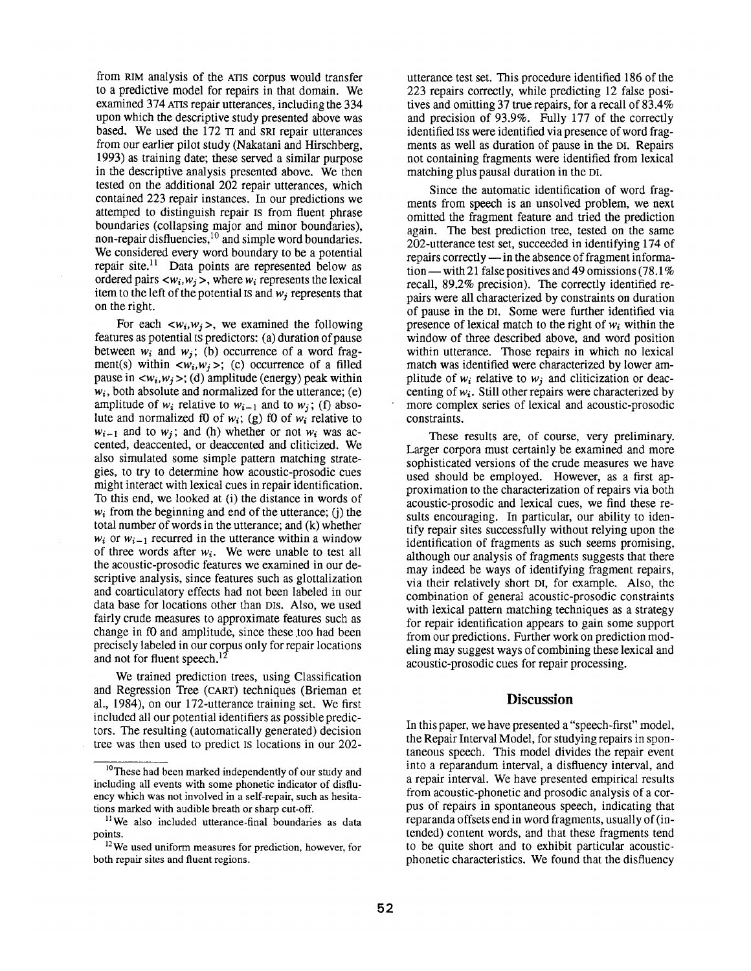from RIM analysis of the ATIS corpus would transfer to a predictive model for repairs in that domain. We examined 374 ATIS repair utterances, including the 334 upon which the descriptive study presented above was based. We used the 172 TI and SRI repair utterances from our earlier pilot study (Nakatani and Hirschberg, 1993) as training date; these served a similar purpose in the descriptive analysis presented above. We then tested on the additional 202 repair utterances, which contained 223 repair instances. In our predictions we attemped to distinguish repair Is from fluent phrase boundaries (collapsing major and minor boundaries), non-repair disfluencies, <sup>10</sup> and simple word boundaries. We considered every word boundary to be a potential repair site. $11$  Data points are represented below as ordered pairs  $\langle w_i, w_j \rangle$ , where  $w_i$  represents the lexical item to the left of the potential IS and  $w_i$  represents that on the right.

For each  $\langle w_i, w_j \rangle$ , we examined the following features as potential Is predictors: (a) duration of pause between  $w_i$  and  $w_j$ ; (b) occurrence of a word fragment(s) within  $\langle w_i, w_j \rangle$ ; (c) occurrence of a filled pause in  $\langle w_i, w_j \rangle$ ; (d) amplitude (energy) peak within  $w_i$ , both absolute and normalized for the utterance;  $(e)$ amplitude of  $w_i$  relative to  $w_{i-1}$  and to  $w_i$ ; (f) absolute and normalized f0 of  $w_i$ ; (g) f0 of  $w_i$  relative to  $w_{i-1}$  and to  $w_i$ ; and (h) whether or not  $w_i$  was accented, deaccented, or deaccented and cliticized. We also simulated some simple pattern matching strategies, to try to determine how acoustic-prosodic cues might interact with lexical cues in repair identification. To this end, we looked at (i) the distance in words of  $w_i$  from the beginning and end of the utterance; (i) the total number of words in the utterance; and (k) whether  $w_i$  or  $w_{i-1}$  recurred in the utterance within a window of three words after  $w_i$ . We were unable to test all the acoustic-prosodic features we examined in our descriptive analysis, since features such as glottalization and coarticulatory effects had not been labeled in our data base for locations other than DIs. Also, we used fairly crude measures to approximate features such as change in f0 and amplitude, since these too had been precisely labeled in our corpus only for repair locations and not for fluent speech. $^{12}$ 

We trained prediction trees, using Classification and Regression Tree (CART) techniques (Brieman et al., 1984), on our 172-utterance training set. We first included all our potential identifiers as possible predictors. The resulting (automatically generated) decision tree was then used to predict IS locations in our 202utterance test set. This procedure identified 186 of the 223 repairs correctly, while predicting 12 false positives and omitting 37 true repairs, for a recall of 83.4% and precision of 93.9%. Fully 177 of the correctly identified ISS were identified via presence of word fragments as well as duration of pause in the DL Repairs not containing fragments were identified from lexical matching plus pausal duration in the DI.

Since the automatic identification of word fragments from speech is an unsolved problem, we next omitted the fragment feature and tried the prediction again. The best prediction tree, tested on the same 202-utterance test set, succeeded in identifying 174 of repairs correctly-- in the absence of fragment information — with 21 false positives and 49 omissions (78.1%) recall, 89.2% precision). The correctly identified repairs were all characterized by constraints on duration of pause in the DI. Some were further identified via presence of lexical match to the right of  $w_i$  within the window of three described above, and word position within utterance. Those repairs in which no lexical match was identified were characterized by lower amplitude of  $w_i$  relative to  $w_i$  and cliticization or deaccenting of  $w_i$ . Still other repairs were characterized by more complex series of lexical and acoustic-prosodic constraints.

These results are, of course, very preliminary. Larger corpora must certainly be examined and more sophisticated versions of the crude measures we have used should be employed. However, as a first approximation to the characterization of repairs via both acoustic-prosodic and lexical cues, we find these results encouraging. In particular, our ability to identify repair sites successfully without relying upon the identification of fragments as such seems promising, although our analysis of fragments suggests that there may indeed be ways of identifying fragment repairs, via their relatively short DI, for example. Also, the combination of general acoustic-prosodic constraints with lexical pattern matching techniques as a strategy for repair identification appears to gain some support from our predictions. Further work on prediction modeling may suggest ways of combining these lexical and acoustic-prosodic cues for repair processing.

#### **Discussion**

In this paper, we have presented a"speech-first" model, the Repair Interval Model, for studying repairs in spontaneous speech. This model divides the repair event into a reparandum interval, a disfluency interval, and a repair interval. We have presented empirical results from acoustic-phonetic and prosodic analysis of a corpus of repairs in spontaneous speech, indicating that reparanda offsets end in word fragments, usually of (intended) content words, and that these fragments tend to be quite short and to exhibit particular acousticphonetic characteristics. We found that the disfluency

<sup>&</sup>lt;sup>10</sup>These had been marked independently of our study and including all events with some phonetic indicator of disfluency which was not involved in a self-repair, such as hesitations marked with audible breath or sharp cut-off.

<sup>&</sup>lt;sup>11</sup>We also included utterance-final boundaries as data points.

<sup>12</sup>We used uniform measures for prediction, however, for both repair sites and fluent regions.